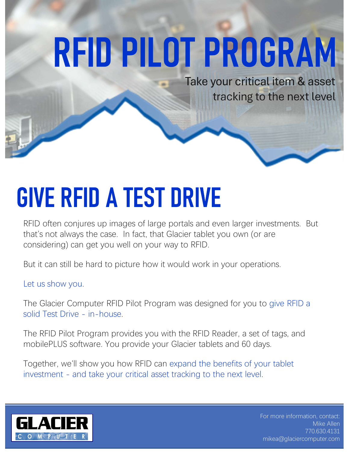# **RFID PILOT PROGRAM**

Take your critical item & asset tracking to the next level

RFID often conjures up images of large portals and even larger investments. But that's not always the case. In fact, that Glacier tablet you own (or are considering) can get you well on your way to RFID. **SIVE RFID A TEST DRIVE**<br>RFID often conjures up images of large portals and even larger investments. But<br>that's not always the case. In fact, that Glacier tablet you own (or are<br>considering) can get you well on your way to

But it can still be hard to picture how it would work in your operations.

Let us show you.

The Glacier Computer RFID Pilot Program was designed for you to give RFID a that's not always the case. In fact, that Glacier tablet you own (or are considering) can get you well on your way to RFID.<br>But it can still be hard to picture how it would work in your operations.<br>Let us show you.<br>The Gla

mobilePLUS software. You provide your Glacier tablets and 60 days.

Together, we'll show you how RFID can expand the benefits of your tablet



For more information, contact: Mike Allen 770.630.4131 mikea@glaciercomputer.com